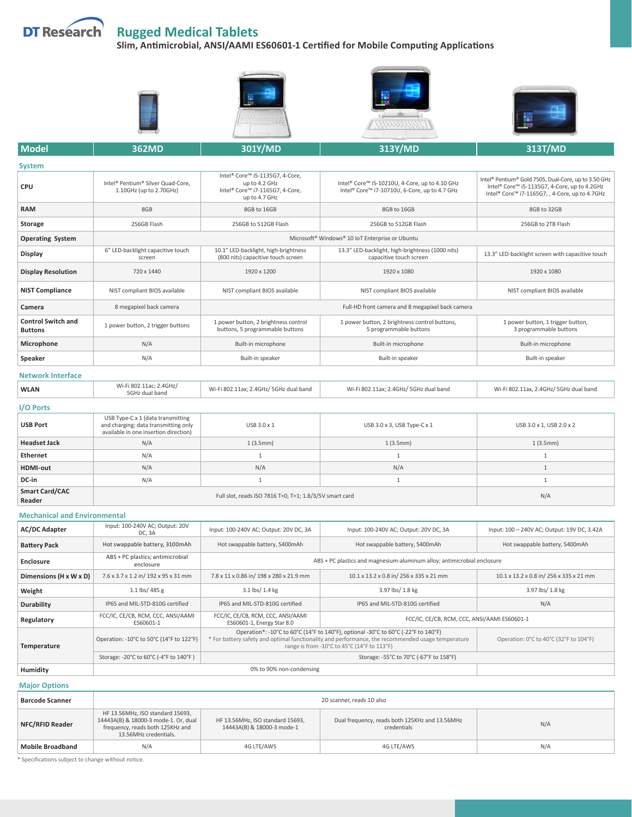

## **Rugged Medical Tablets**

**Slim, Antimicrobial, ANSI/AAMI ES60601-1 Certified for Mobile Computing Applications**



| <b>System</b>                               |                                                                         |                                                                                                      |                                                                                                 |                                                                                                                                                       |
|---------------------------------------------|-------------------------------------------------------------------------|------------------------------------------------------------------------------------------------------|-------------------------------------------------------------------------------------------------|-------------------------------------------------------------------------------------------------------------------------------------------------------|
| <b>CPU</b>                                  | Intel® Pentium® Silver Quad-Core,<br>1.10GHz (up to 2.70GHz)            | Intel® Core™ i5-1135G7, 4-Core,<br>up to 4.2 GHz<br>Intel® Core™ i7-1165G7, 4-Core,<br>up to 4.7 GHz | Intel® Core™ i5-10210U, 4-Core, up to 4.10 GHz<br>Intel® Core™ i7-10710U, 6-Core, up to 4.7 GHz | Intel® Pentium® Gold 7505, Dual-Core, up to 3.50 GHz<br>Intel® Core™ i5-1135G7, 4-Core, up to 4.2GHz<br>Intel® Core™ i7-1165G7,, 4-Core, up to 4.7GHz |
| <b>RAM</b>                                  | 8GB                                                                     | 8GB to 16GB                                                                                          | 8GB to 16GB                                                                                     | 8GB to 32GB                                                                                                                                           |
| Storage                                     | 256GB Flash                                                             | 256GB to 512GB Flash                                                                                 | 256GB to 512GB Flash                                                                            | 256GB to 2TB Flash                                                                                                                                    |
| <b>Operating System</b>                     | Microsoft <sup>®</sup> Windows <sup>®</sup> 10 IoT Enterprise or Ubuntu |                                                                                                      |                                                                                                 |                                                                                                                                                       |
| Display                                     | 6" LED-backlight capacitive touch<br>screen                             | 10.1" LED-backlight, high-brightness<br>(800 nits) capacitive touch screen                           | 13.3" LED-backlight, high-brightness (1000 nits)<br>capacitive touch screen                     | 13.3" LED-backlight screen with capacitive touch                                                                                                      |
| <b>Display Resolution</b>                   | 720 x 1440                                                              | 1920 x 1200                                                                                          | 1920 x 1080                                                                                     | 1920 x 1080                                                                                                                                           |
| <b>NIST Compliance</b>                      | NIST compliant BIOS available                                           | NIST compliant BIOS available                                                                        | NIST compliant BIOS available                                                                   | NIST compliant BIOS available                                                                                                                         |
| Camera                                      | 8 megapixel back camera                                                 | Full-HD front camera and 8 megapixel back camera                                                     |                                                                                                 |                                                                                                                                                       |
| <b>Control Switch and</b><br><b>Buttons</b> | 1 power button, 2 trigger buttons                                       | 1 power button, 2 brightness control<br>buttons, 5 programmable buttons                              | 1 power button, 2 brightness control buttons,<br>5 programmable buttons                         | 1 power button, 1 trigger button,<br>3 programmable buttons                                                                                           |
| Microphone                                  | N/A                                                                     | Built-in microphone                                                                                  | Built-in microphone                                                                             | Built-in microphone                                                                                                                                   |
| Speaker                                     | N/A                                                                     | Built-in speaker                                                                                     | Built-in speaker                                                                                | Built-in speaker                                                                                                                                      |

## **Network Interface**

| <b>WLAN</b> | Wi-Fi 802.11ac; 2.4GHz/<br>5GHz dual band | Wi-Fi 802.11ax; 2.4GHz/ 5GHz dual band | Wi-Fi 802.11ax; 2.4GHz/ 5GHz dual band | Wi-Fi 802.11ax, 2.4GHz/ 5GHz dual band |
|-------------|-------------------------------------------|----------------------------------------|----------------------------------------|----------------------------------------|
|             |                                           |                                        |                                        |                                        |

## **I/O Ports**

| .                               |                                                                                                                    |             |                                            |                          |
|---------------------------------|--------------------------------------------------------------------------------------------------------------------|-------------|--------------------------------------------|--------------------------|
| <b>USB Port</b>                 | USB Type-C x 1 (data transmitting<br>and charging; data transmitting only<br>available in one insertion direction) | USB 3.0 x 1 | USB $3.0 \times 3$ , USB Type-C $\times 1$ | USB 3.0 x 1, USB 2.0 x 2 |
| <b>Headset Jack</b>             | N/A                                                                                                                | 1(3.5mm)    | 1(3.5mm)                                   | 1(3.5mm)                 |
| Ethernet                        | N/A                                                                                                                |             |                                            |                          |
| <b>HDMI-out</b>                 | N/A                                                                                                                | N/A         | N/A                                        |                          |
| DC-in                           | N/A                                                                                                                |             |                                            |                          |
| <b>Smart Card/CAC</b><br>Reader | Full slot, reads ISO 7816 T=0, T=1; 1.8/3/5V smart card                                                            |             |                                            | N/A                      |

## **Mechanical and Environmental**

| <b>AC/DC Adapter</b>   | Input: 100-240V AC; Output: 20V<br>DC, 3A       | Input: 100-240V AC; Output: 20V DC, 3A                                                                                                                                                                                                 | Input: 100-240V AC; Output: 20V DC, 3A       | Input: 100 - 240V AC; Output: 19V DC, 3.42A |  |
|------------------------|-------------------------------------------------|----------------------------------------------------------------------------------------------------------------------------------------------------------------------------------------------------------------------------------------|----------------------------------------------|---------------------------------------------|--|
| <b>Battery Pack</b>    | Hot swappable battery, 3100mAh                  | Hot swappable battery, 5400mAh                                                                                                                                                                                                         | Hot swappable battery, 5400mAh               | Hot swappable battery, 5400mAh              |  |
| <b>Enclosure</b>       | ABS + PC plastics; antimicrobial<br>enclosure   | ABS + PC plastics and magnesium-aluminum alloy; antimicrobial enclosure                                                                                                                                                                |                                              |                                             |  |
| Dimensions (H x W x D) | 7.6 x 3.7 x 1.2 in/ 192 x 95 x 31 mm            | 7.8 x 11 x 0.86 in/ 198 x 280 x 21.9 mm                                                                                                                                                                                                | 10.1 x 13.2 x 0.8 in/ 256 x 335 x 21 mm      | 10.1 x 13.2 x 0.8 in/ 256 x 335 x 21 mm     |  |
| Weight                 | 1.1 lbs/ 485 g                                  | 3.1 lbs/ 1.4 kg                                                                                                                                                                                                                        | 3.97 lbs/ 1.8 kg                             | 3.97 lbs/ 1.8 kg                            |  |
| Durability             | IP65 and MIL-STD-810G certified                 | IP65 and MIL-STD-810G certified                                                                                                                                                                                                        | IP65 and MIL-STD-810G certified              | N/A                                         |  |
| Regulatory             | FCC/IC, CE/CB, RCM, CCC, ANSI/AAMI<br>ES60601-1 | FCC/IC, CE/CB, RCM, CCC, ANSI/AAMI<br>ES60601-1, Energy Star 8.0                                                                                                                                                                       | FCC/IC, CE/CB, RCM, CCC, ANSI/AAMI ES60601-1 |                                             |  |
| Temperature            | Operation: -10°C to 50°C (14°F to 122°F)        | Operation*: -10°C to 60°C (14°F to 140°F), optional -30°C to 60°C (-22°F to 140°F)<br>* For battery safety and optimal functionality and performance, the recommended usage temperature<br>range is from -10°C to 45°C (14°F to 113°F) |                                              | Operation: 0°C to 40°C (32°F to 104°F)      |  |
|                        | Storage: -20°C to 60°C (-4°F to 140°F)          |                                                                                                                                                                                                                                        |                                              |                                             |  |
| Humidity               | 0% to 90% non-condensing                        |                                                                                                                                                                                                                                        |                                              |                                             |  |

**Major Options**

| <b>Barcode Scanner</b>  | 2D scanner, reads 1D also                                                                                                             |                                                                |                                                               |     |
|-------------------------|---------------------------------------------------------------------------------------------------------------------------------------|----------------------------------------------------------------|---------------------------------------------------------------|-----|
| NFC/RFID Reader         | HF 13.56MHz, ISO standard 15693,<br>14443A(B) & 18000-3 mode-1. Or, dual<br>frequency, reads both 125KHz and<br>13.56MHz credentials. | HF 13.56MHz, ISO standard 15693,<br>14443A(B) & 18000-3 mode-1 | Dual frequency, reads both 125KHz and 13.56MHz<br>credentials | N/A |
| <b>Mobile Broadband</b> | N/A                                                                                                                                   | 4G LTE/AWS                                                     | 4G LTE/AWS                                                    | N/A |

\* Specifications subject to change without notice.